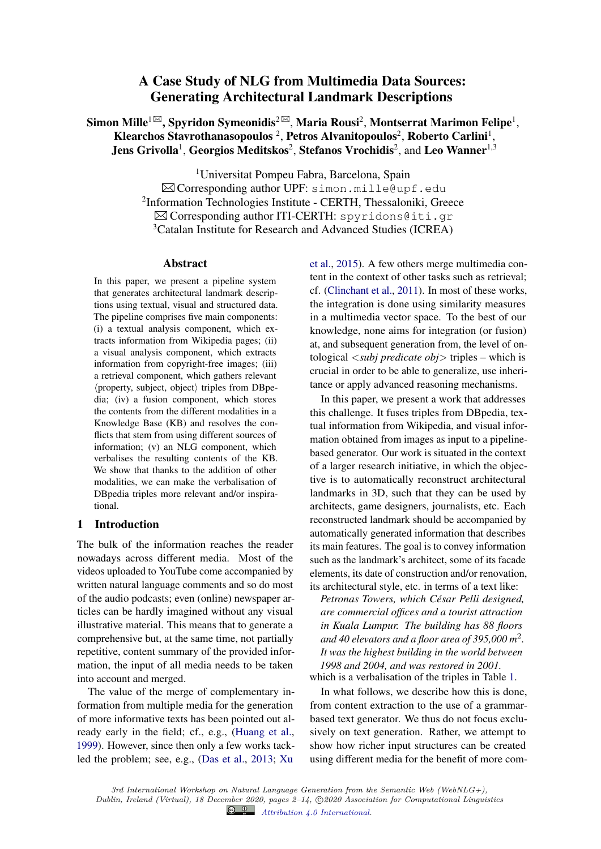# A Case Study of NLG from Multimedia Data Sources: Generating Architectural Landmark Descriptions

Simon Mille $^{1\boxtimes}$ , Spyridon Symeonidis $^{2\boxtimes}$ , Maria Rousi $^2$ , Montserrat Marimon Felipe $^1,$ Klearchos Stavrothanasopoulos <sup>2</sup>, Petros Alvanitopoulos<sup>2</sup>, Roberto Carlini<sup>1</sup>, Jens Grivolla<sup>1</sup>, Georgios Meditskos<sup>2</sup>, Stefanos Vrochidis<sup>2</sup>, and Leo Wanner<sup>1,3</sup>

> <sup>1</sup>Universitat Pompeu Fabra, Barcelona, Spain  $\boxtimes$  Corresponding author UPF: simon.mille@upf.edu <sup>2</sup>Information Technologies Institute - CERTH, Thessaloniki, Greece  $\boxtimes$  Corresponding author ITI-CERTH: spyridons@iti.gr <sup>3</sup>Catalan Institute for Research and Advanced Studies (ICREA)

#### Abstract

In this paper, we present a pipeline system that generates architectural landmark descriptions using textual, visual and structured data. The pipeline comprises five main components: (i) a textual analysis component, which extracts information from Wikipedia pages; (ii) a visual analysis component, which extracts information from copyright-free images; (iii) a retrieval component, which gathers relevant  $\langle$  property, subject, object $\rangle$  triples from DBpedia; (iv) a fusion component, which stores the contents from the different modalities in a Knowledge Base (KB) and resolves the conflicts that stem from using different sources of information; (v) an NLG component, which verbalises the resulting contents of the KB. We show that thanks to the addition of other modalities, we can make the verbalisation of DBpedia triples more relevant and/or inspirational.

## 1 Introduction

The bulk of the information reaches the reader nowadays across different media. Most of the videos uploaded to YouTube come accompanied by written natural language comments and so do most of the audio podcasts; even (online) newspaper articles can be hardly imagined without any visual illustrative material. This means that to generate a comprehensive but, at the same time, not partially repetitive, content summary of the provided information, the input of all media needs to be taken into account and merged.

The value of the merge of complementary information from multiple media for the generation of more informative texts has been pointed out already early in the field; cf., e.g., (Huang et al., 1999). However, since then only a few works tackled the problem; see, e.g., (Das et al., 2013; Xu

et al., 2015). A few others merge multimedia content in the context of other tasks such as retrieval; cf. (Clinchant et al., 2011). In most of these works, the integration is done using similarity measures in a multimedia vector space. To the best of our knowledge, none aims for integration (or fusion) at, and subsequent generation from, the level of ontological <*subj predicate obj*> triples – which is crucial in order to be able to generalize, use inheritance or apply advanced reasoning mechanisms.

In this paper, we present a work that addresses this challenge. It fuses triples from DBpedia, textual information from Wikipedia, and visual information obtained from images as input to a pipelinebased generator. Our work is situated in the context of a larger research initiative, in which the objective is to automatically reconstruct architectural landmarks in 3D, such that they can be used by architects, game designers, journalists, etc. Each reconstructed landmark should be accompanied by automatically generated information that describes its main features. The goal is to convey information such as the landmark's architect, some of its facade elements, its date of construction and/or renovation, its architectural style, etc. in terms of a text like:

*Petronas Towers, which Cesar Pelli designed, ´ are commercial offices and a tourist attraction in Kuala Lumpur. The building has 88 floors and 40 elevators and a floor area of 395,000 m*<sup>2</sup> *. It was the highest building in the world between 1998 and 2004, and was restored in 2001.* which is a verbalisation of the triples in Table 1.

In what follows, we describe how this is done, from content extraction to the use of a grammarbased text generator. We thus do not focus exclusively on text generation. Rather, we attempt to show how richer input structures can be created using different media for the benefit of more com-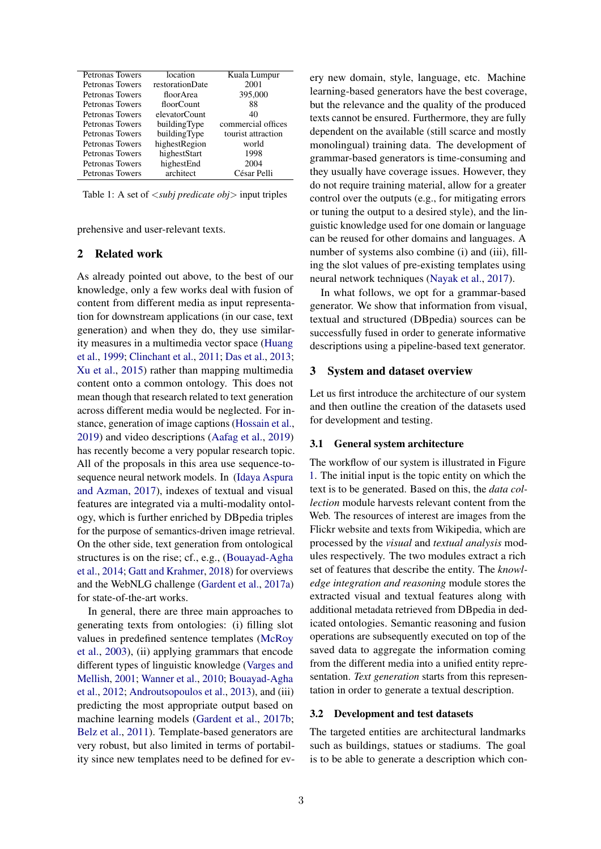| <b>Petronas Towers</b> | location        | Kuala Lumpur       |
|------------------------|-----------------|--------------------|
| <b>Petronas Towers</b> | restorationDate | 2001               |
| Petronas Towers        | floor Area      | 395,000            |
| Petronas Towers        | floorCount      | 88                 |
| <b>Petronas Towers</b> | elevatorCount   | 40                 |
| Petronas Towers        | buildingType    | commercial offices |
| <b>Petronas Towers</b> | buildingType    | tourist attraction |
| <b>Petronas Towers</b> | highestRegion   | world              |
| <b>Petronas Towers</b> | highestStart    | 1998               |
| <b>Petronas Towers</b> | highestEnd      | 2004               |
| <b>Petronas Towers</b> | architect       | César Pelli        |

Table 1: A set of <*subj predicate obj*> input triples

prehensive and user-relevant texts.

### 2 Related work

As already pointed out above, to the best of our knowledge, only a few works deal with fusion of content from different media as input representation for downstream applications (in our case, text generation) and when they do, they use similarity measures in a multimedia vector space (Huang et al., 1999; Clinchant et al., 2011; Das et al., 2013; Xu et al., 2015) rather than mapping multimedia content onto a common ontology. This does not mean though that research related to text generation across different media would be neglected. For instance, generation of image captions (Hossain et al., 2019) and video descriptions (Aafag et al., 2019) has recently become a very popular research topic. All of the proposals in this area use sequence-tosequence neural network models. In (Idaya Aspura and Azman, 2017), indexes of textual and visual features are integrated via a multi-modality ontology, which is further enriched by DBpedia triples for the purpose of semantics-driven image retrieval. On the other side, text generation from ontological structures is on the rise; cf., e.g., (Bouayad-Agha et al., 2014; Gatt and Krahmer, 2018) for overviews and the WebNLG challenge (Gardent et al., 2017a) for state-of-the-art works.

In general, there are three main approaches to generating texts from ontologies: (i) filling slot values in predefined sentence templates (McRoy et al., 2003), (ii) applying grammars that encode different types of linguistic knowledge (Varges and Mellish, 2001; Wanner et al., 2010; Bouayad-Agha et al., 2012; Androutsopoulos et al., 2013), and (iii) predicting the most appropriate output based on machine learning models (Gardent et al., 2017b; Belz et al., 2011). Template-based generators are very robust, but also limited in terms of portability since new templates need to be defined for ev-

ery new domain, style, language, etc. Machine learning-based generators have the best coverage, but the relevance and the quality of the produced texts cannot be ensured. Furthermore, they are fully dependent on the available (still scarce and mostly monolingual) training data. The development of grammar-based generators is time-consuming and they usually have coverage issues. However, they do not require training material, allow for a greater control over the outputs (e.g., for mitigating errors or tuning the output to a desired style), and the linguistic knowledge used for one domain or language can be reused for other domains and languages. A number of systems also combine (i) and (iii), filling the slot values of pre-existing templates using neural network techniques (Nayak et al., 2017).

In what follows, we opt for a grammar-based generator. We show that information from visual, textual and structured (DBpedia) sources can be successfully fused in order to generate informative descriptions using a pipeline-based text generator.

#### 3 System and dataset overview

Let us first introduce the architecture of our system and then outline the creation of the datasets used for development and testing.

#### 3.1 General system architecture

The workflow of our system is illustrated in Figure 1. The initial input is the topic entity on which the text is to be generated. Based on this, the *data collection* module harvests relevant content from the Web. The resources of interest are images from the Flickr website and texts from Wikipedia, which are processed by the *visual* and *textual analysis* modules respectively. The two modules extract a rich set of features that describe the entity. The *knowledge integration and reasoning* module stores the extracted visual and textual features along with additional metadata retrieved from DBpedia in dedicated ontologies. Semantic reasoning and fusion operations are subsequently executed on top of the saved data to aggregate the information coming from the different media into a unified entity representation. *Text generation* starts from this representation in order to generate a textual description.

## 3.2 Development and test datasets

The targeted entities are architectural landmarks such as buildings, statues or stadiums. The goal is to be able to generate a description which con-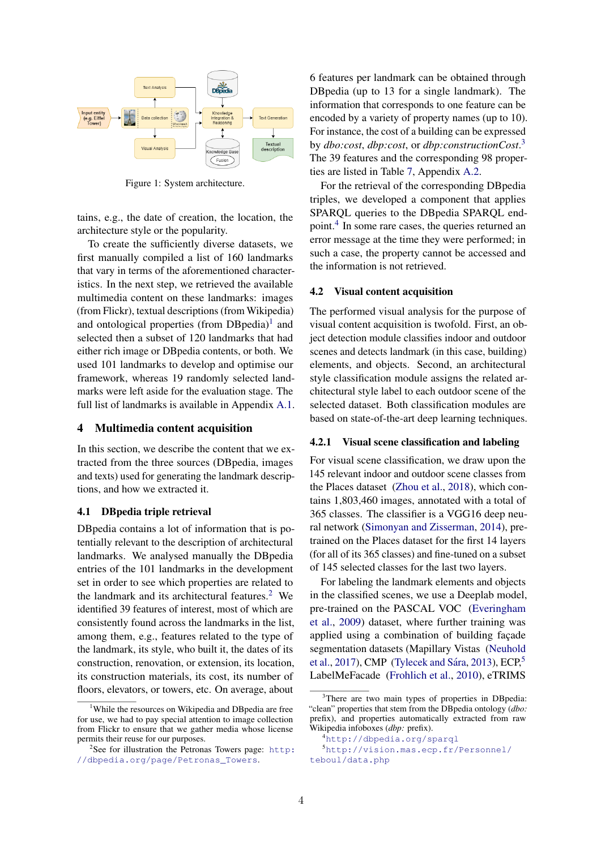

Figure 1: System architecture.

tains, e.g., the date of creation, the location, the architecture style or the popularity.

To create the sufficiently diverse datasets, we first manually compiled a list of 160 landmarks that vary in terms of the aforementioned characteristics. In the next step, we retrieved the available multimedia content on these landmarks: images (from Flickr), textual descriptions (from Wikipedia) and ontological properties (from  $DBpedia$ )<sup>1</sup> and selected then a subset of 120 landmarks that had either rich image or DBpedia contents, or both. We used 101 landmarks to develop and optimise our framework, whereas 19 randomly selected landmarks were left aside for the evaluation stage. The full list of landmarks is available in Appendix A.1.

## 4 Multimedia content acquisition

In this section, we describe the content that we extracted from the three sources (DBpedia, images and texts) used for generating the landmark descriptions, and how we extracted it.

## 4.1 DBpedia triple retrieval

DBpedia contains a lot of information that is potentially relevant to the description of architectural landmarks. We analysed manually the DBpedia entries of the 101 landmarks in the development set in order to see which properties are related to the landmark and its architectural features.<sup>2</sup> We identified 39 features of interest, most of which are consistently found across the landmarks in the list, among them, e.g., features related to the type of the landmark, its style, who built it, the dates of its construction, renovation, or extension, its location, its construction materials, its cost, its number of floors, elevators, or towers, etc. On average, about

6 features per landmark can be obtained through DBpedia (up to 13 for a single landmark). The information that corresponds to one feature can be encoded by a variety of property names (up to 10). For instance, the cost of a building can be expressed by *dbo:cost*, *dbp:cost*, or *dbp:constructionCost*. 3 The 39 features and the corresponding 98 properties are listed in Table 7, Appendix A.2.

For the retrieval of the corresponding DBpedia triples, we developed a component that applies SPARQL queries to the DBpedia SPARQL endpoint.<sup>4</sup> In some rare cases, the queries returned an error message at the time they were performed; in such a case, the property cannot be accessed and the information is not retrieved.

#### 4.2 Visual content acquisition

The performed visual analysis for the purpose of visual content acquisition is twofold. First, an object detection module classifies indoor and outdoor scenes and detects landmark (in this case, building) elements, and objects. Second, an architectural style classification module assigns the related architectural style label to each outdoor scene of the selected dataset. Both classification modules are based on state-of-the-art deep learning techniques.

## 4.2.1 Visual scene classification and labeling

For visual scene classification, we draw upon the 145 relevant indoor and outdoor scene classes from the Places dataset (Zhou et al., 2018), which contains 1,803,460 images, annotated with a total of 365 classes. The classifier is a VGG16 deep neural network (Simonyan and Zisserman, 2014), pretrained on the Places dataset for the first 14 layers (for all of its 365 classes) and fine-tuned on a subset of 145 selected classes for the last two layers.

For labeling the landmark elements and objects in the classified scenes, we use a Deeplab model, pre-trained on the PASCAL VOC (Everingham et al., 2009) dataset, where further training was applied using a combination of building facade segmentation datasets (Mapillary Vistas (Neuhold et al., 2017), CMP (Tylecek and Sára, 2013), ECP, $5$ LabelMeFacade (Frohlich et al., 2010), eTRIMS

<sup>&</sup>lt;sup>1</sup>While the resources on Wikipedia and DBpedia are free for use, we had to pay special attention to image collection from Flickr to ensure that we gather media whose license permits their reuse for our purposes.

 $2$ See for illustration the Petronas Towers page: http: //dbpedia.org/page/Petronas\_Towers.

<sup>&</sup>lt;sup>3</sup>There are two main types of properties in DBpedia: "clean" properties that stem from the DBpedia ontology (*dbo:* prefix), and properties automatically extracted from raw Wikipedia infoboxes (*dbp:* prefix).

<sup>4</sup>http://dbpedia.org/sparql

<sup>5</sup>http://vision.mas.ecp.fr/Personnel/ teboul/data.php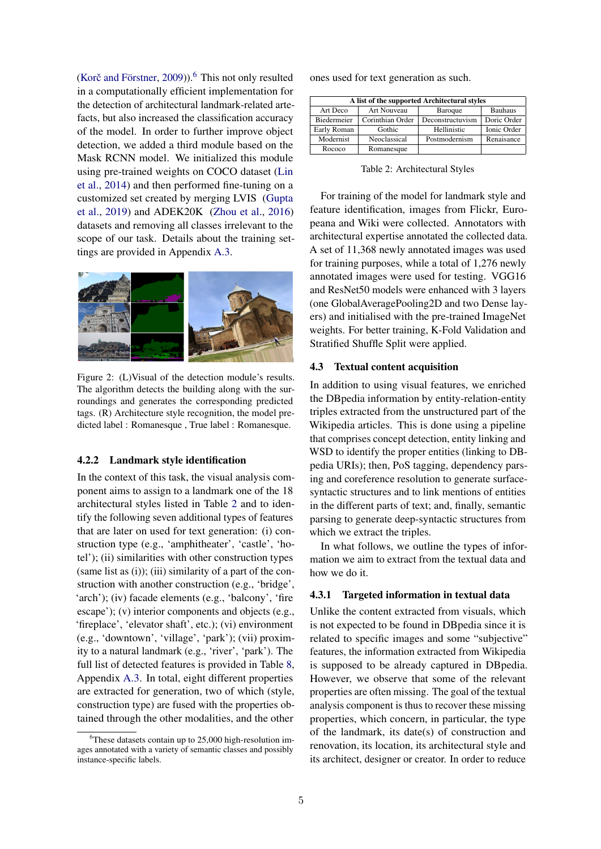(Korč and Förstner, 2009)). $^6$  This not only resulted in a computationally efficient implementation for the detection of architectural landmark-related artefacts, but also increased the classification accuracy of the model. In order to further improve object detection, we added a third module based on the Mask RCNN model. We initialized this module using pre-trained weights on COCO dataset (Lin et al., 2014) and then performed fine-tuning on a customized set created by merging LVIS (Gupta et al., 2019) and ADEK20K (Zhou et al., 2016) datasets and removing all classes irrelevant to the scope of our task. Details about the training settings are provided in Appendix A.3.



Figure 2: (L)Visual of the detection module's results. The algorithm detects the building along with the surroundings and generates the corresponding predicted tags. (R) Architecture style recognition, the model predicted label : Romanesque , True label : Romanesque.

#### 4.2.2 Landmark style identification

In the context of this task, the visual analysis component aims to assign to a landmark one of the 18 architectural styles listed in Table 2 and to identify the following seven additional types of features that are later on used for text generation: (i) construction type (e.g., 'amphitheater', 'castle', 'hotel'); (ii) similarities with other construction types  $(same list as (i))$ ; (iii) similarity of a part of the construction with another construction (e.g., 'bridge', 'arch'); (iv) facade elements (e.g., 'balcony', 'fire escape'); (v) interior components and objects (e.g., 'fireplace', 'elevator shaft', etc.); (vi) environment (e.g., 'downtown', 'village', 'park'); (vii) proximity to a natural landmark (e.g., 'river', 'park'). The full list of detected features is provided in Table 8, Appendix A.3. In total, eight different properties are extracted for generation, two of which (style, construction type) are fused with the properties obtained through the other modalities, and the other

ones used for text generation as such.

|             |                  | A list of the supported Architectural styles |                    |
|-------------|------------------|----------------------------------------------|--------------------|
| Art Deco    | Art Nouveau      | <b>Baroque</b>                               | <b>Bauhaus</b>     |
| Biedermeier | Corinthian Order | Deconstructuvism                             | Doric Order        |
| Early Roman | Gothic           | Hellinistic                                  | <b>Ionic Order</b> |
| Modernist   | Neoclassical     | Postmodernism                                | Renaisance         |
| Rococo      | Romanesque       |                                              |                    |

Table 2: Architectural Styles

For training of the model for landmark style and feature identification, images from Flickr, Europeana and Wiki were collected. Annotators with architectural expertise annotated the collected data. A set of 11,368 newly annotated images was used for training purposes, while a total of 1,276 newly annotated images were used for testing. VGG16 and ResNet50 models were enhanced with 3 layers (one GlobalAveragePooling2D and two Dense layers) and initialised with the pre-trained ImageNet weights. For better training, K-Fold Validation and Stratified Shuffle Split were applied.

#### 4.3 Textual content acquisition

In addition to using visual features, we enriched the DBpedia information by entity-relation-entity triples extracted from the unstructured part of the Wikipedia articles. This is done using a pipeline that comprises concept detection, entity linking and WSD to identify the proper entities (linking to DBpedia URIs); then, PoS tagging, dependency parsing and coreference resolution to generate surfacesyntactic structures and to link mentions of entities in the different parts of text; and, finally, semantic parsing to generate deep-syntactic structures from which we extract the triples.

In what follows, we outline the types of information we aim to extract from the textual data and how we do it.

## 4.3.1 Targeted information in textual data

Unlike the content extracted from visuals, which is not expected to be found in DBpedia since it is related to specific images and some "subjective" features, the information extracted from Wikipedia is supposed to be already captured in DBpedia. However, we observe that some of the relevant properties are often missing. The goal of the textual analysis component is thus to recover these missing properties, which concern, in particular, the type of the landmark, its date(s) of construction and renovation, its location, its architectural style and its architect, designer or creator. In order to reduce

<sup>&</sup>lt;sup>6</sup>These datasets contain up to 25,000 high-resolution images annotated with a variety of semantic classes and possibly instance-specific labels.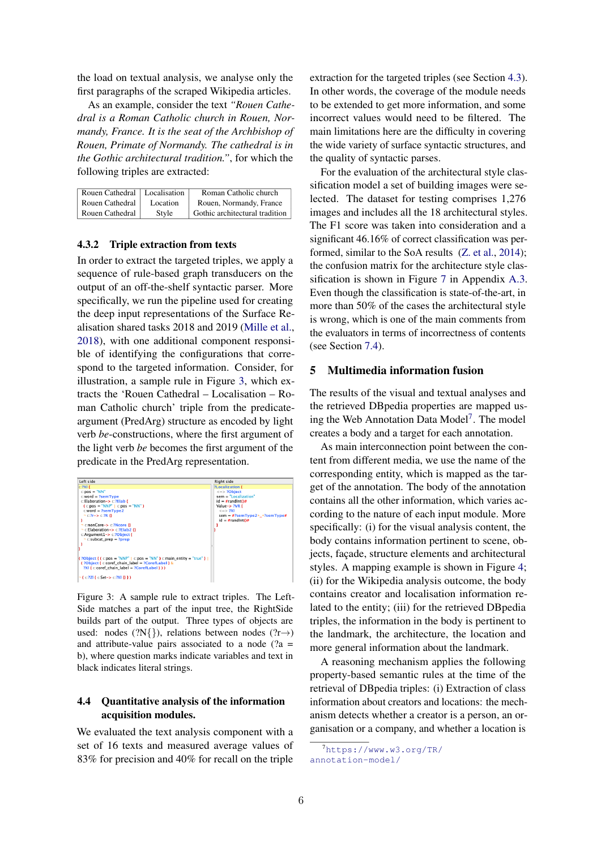the load on textual analysis, we analyse only the first paragraphs of the scraped Wikipedia articles.

As an example, consider the text *"Rouen Cathedral is a Roman Catholic church in Rouen, Normandy, France. It is the seat of the Archbishop of Rouen, Primate of Normandy. The cathedral is in the Gothic architectural tradition."*, for which the following triples are extracted:

| Rouen Cathedral   Localisation |          | Roman Catholic church          |
|--------------------------------|----------|--------------------------------|
| Rouen Cathedral                | Location | Rouen, Normandy, France        |
| Rouen Cathedral                | Style    | Gothic architectural tradition |

### 4.3.2 Triple extraction from texts

In order to extract the targeted triples, we apply a sequence of rule-based graph transducers on the output of an off-the-shelf syntactic parser. More specifically, we run the pipeline used for creating the deep input representations of the Surface Realisation shared tasks 2018 and 2019 (Mille et al., 2018), with one additional component responsible of identifying the configurations that correspond to the targeted information. Consider, for illustration, a sample rule in Figure 3, which extracts the 'Rouen Cathedral – Localisation – Roman Catholic church' triple from the predicateargument (PredArg) structure as encoded by light verb *be*-constructions, where the first argument of the light verb *be* becomes the first argument of the predicate in the PredArg representation.



Figure 3: A sample rule to extract triples. The Left-Side matches a part of the input tree, the RightSide builds part of the output. Three types of objects are used: nodes (?N{}), relations between nodes (?r→) and attribute-value pairs associated to a node  $(2a =$ b), where question marks indicate variables and text in black indicates literal strings.

## 4.4 Quantitative analysis of the information acquisition modules.

We evaluated the text analysis component with a set of 16 texts and measured average values of 83% for precision and 40% for recall on the triple

extraction for the targeted triples (see Section 4.3). In other words, the coverage of the module needs to be extended to get more information, and some incorrect values would need to be filtered. The main limitations here are the difficulty in covering the wide variety of surface syntactic structures, and the quality of syntactic parses.

For the evaluation of the architectural style classification model a set of building images were selected. The dataset for testing comprises 1,276 images and includes all the 18 architectural styles. The F1 score was taken into consideration and a significant 46.16% of correct classification was performed, similar to the SoA results (Z. et al., 2014); the confusion matrix for the architecture style classification is shown in Figure 7 in Appendix A.3. Even though the classification is state-of-the-art, in more than 50% of the cases the architectural style is wrong, which is one of the main comments from the evaluators in terms of incorrectness of contents (see Section 7.4).

## 5 Multimedia information fusion

The results of the visual and textual analyses and the retrieved DBpedia properties are mapped using the Web Annotation Data Model<sup>7</sup>. The model creates a body and a target for each annotation.

As main interconnection point between the content from different media, we use the name of the corresponding entity, which is mapped as the target of the annotation. The body of the annotation contains all the other information, which varies according to the nature of each input module. More specifically: (i) for the visual analysis content, the body contains information pertinent to scene, objects, facade, structure elements and architectural styles. A mapping example is shown in Figure 4; (ii) for the Wikipedia analysis outcome, the body contains creator and localisation information related to the entity; (iii) for the retrieved DBpedia triples, the information in the body is pertinent to the landmark, the architecture, the location and more general information about the landmark.

A reasoning mechanism applies the following property-based semantic rules at the time of the retrieval of DBpedia triples: (i) Extraction of class information about creators and locations: the mechanism detects whether a creator is a person, an organisation or a company, and whether a location is

<sup>7</sup>https://www.w3.org/TR/ annotation-model/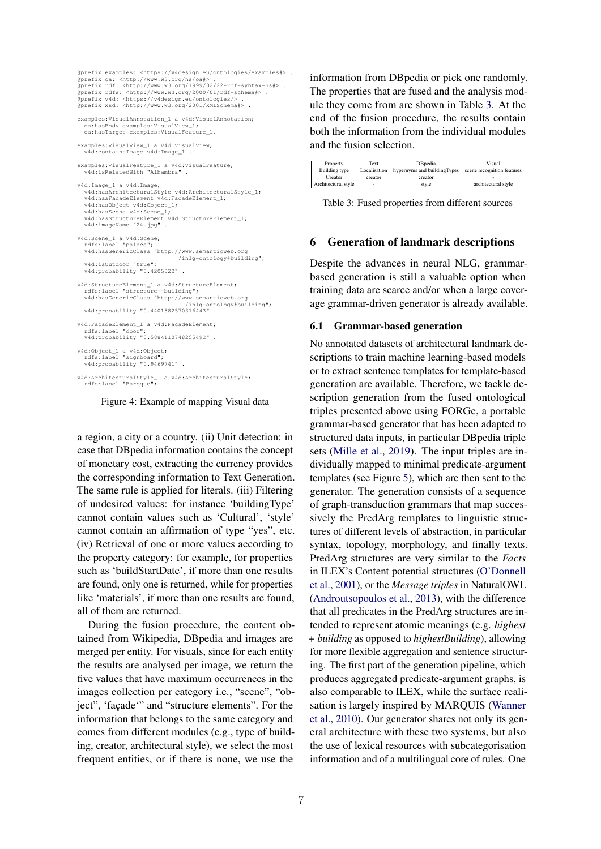```
@prefix examples: <https://v4design.eu/ontologies/examples#> .
@prefix oa: <http://www.w3.org/ns/oa#> .
@prefix rdf: <http://www.w3.org/1999/02/22-rdf-syntax-ns#> .
@prefix rdfs: <http://www.w3.org/2000/01/rdf-schema#> .
@prefix v4d: <https://v4design.eu/ontologies/> .
@prefix xsd: <http://www.w3.org/2001/XMLSchema#> .
examples:VisualAnnotation_1 a v4d:VisualAnnotation;
   oa:hasBody examples:VisualView_1;
oa:hasTarget examples:VisualFeature_1.
examples:VisualView_1 a v4d:VisualView;
  v4d:containsImage v4d:Image_1 .
examples:VisualFeature 1 a v4d:VisualFeature;
  v4d:isRelatedWith "Alhambra" .
v4d:Image_1 a v4d:Image;
   v4d:hasArchitecturalStyle v4d:ArchitecturalStyle_1;
   v4d:hasFacadeElement v4d:FacadeElement_1;
   v4d:hasObject v4d:Object_1;
v4d:hasScene v4d:Scene_1;
v4d:hasStructureElement v4d:StructureElement_1;
  v4d:imageName "24.jpg" .
v4d:Scene_1 a v4d:Scene;
rdfs:label "palace";
v4d:hasGenericClass "http://www.semanticweb.org
                                       /inlg-ontology#building";
   v4d:isOutdoor "true";
v4d:probability "0.4205022" .
v4d:StructureElement_1 a v4d:StructureElement;
   rdfs:label "structure--building";
v4d:hasGenericClass "http://www.semanticweb.org
                                          /inlg-ontology#building";
  v4d:probability "0.4401882570316443" .
v4d:FacadeElement_1 a v4d:FacadeElement;
rdfs:label "door";
v4d:probability "0.5884110748255492" .
v4d:Object_1 a v4d:Object;
rdfs:label "signboard";
  v4d:probability "0.9469741" .
v4d:ArchitecturalStyle_1 a v4d:ArchitecturalStyle;
   rdfs:label "Baroque";
```
Figure 4: Example of mapping Visual data

a region, a city or a country. (ii) Unit detection: in case that DBpedia information contains the concept of monetary cost, extracting the currency provides the corresponding information to Text Generation. The same rule is applied for literals. (iii) Filtering of undesired values: for instance 'buildingType' cannot contain values such as 'Cultural', 'style' cannot contain an affirmation of type "yes", etc. (iv) Retrieval of one or more values according to the property category: for example, for properties such as 'buildStartDate', if more than one results are found, only one is returned, while for properties like 'materials', if more than one results are found, all of them are returned.

During the fusion procedure, the content obtained from Wikipedia, DBpedia and images are merged per entity. For visuals, since for each entity the results are analysed per image, we return the five values that have maximum occurrences in the images collection per category i.e., "scene", "object", 'façade'" and "structure elements". For the information that belongs to the same category and comes from different modules (e.g., type of building, creator, architectural style), we select the most frequent entities, or if there is none, we use the

information from DBpedia or pick one randomly. The properties that are fused and the analysis module they come from are shown in Table 3. At the end of the fusion procedure, the results contain both the information from the individual modules and the fusion selection.

| Property            | Text         | DBpedia                     | Visual                     |
|---------------------|--------------|-----------------------------|----------------------------|
| Building type       | Localisation | hypernyms and buildingTypes | scene recognition features |
| Creator             | creator      | creator                     |                            |
| Architectural style | ۰            | style                       | architectural style        |

Table 3: Fused properties from different sources

#### 6 Generation of landmark descriptions

Despite the advances in neural NLG, grammarbased generation is still a valuable option when training data are scarce and/or when a large coverage grammar-driven generator is already available.

#### 6.1 Grammar-based generation

No annotated datasets of architectural landmark descriptions to train machine learning-based models or to extract sentence templates for template-based generation are available. Therefore, we tackle description generation from the fused ontological triples presented above using FORGe, a portable grammar-based generator that has been adapted to structured data inputs, in particular DBpedia triple sets (Mille et al., 2019). The input triples are individually mapped to minimal predicate-argument templates (see Figure 5), which are then sent to the generator. The generation consists of a sequence of graph-transduction grammars that map successively the PredArg templates to linguistic structures of different levels of abstraction, in particular syntax, topology, morphology, and finally texts. PredArg structures are very similar to the *Facts* in ILEX's Content potential structures (O'Donnell et al., 2001), or the *Message triples* in NaturalOWL (Androutsopoulos et al., 2013), with the difference that all predicates in the PredArg structures are intended to represent atomic meanings (e.g. *highest + building* as opposed to *highestBuilding*), allowing for more flexible aggregation and sentence structuring. The first part of the generation pipeline, which produces aggregated predicate-argument graphs, is also comparable to ILEX, while the surface realisation is largely inspired by MARQUIS (Wanner et al., 2010). Our generator shares not only its general architecture with these two systems, but also the use of lexical resources with subcategorisation information and of a multilingual core of rules. One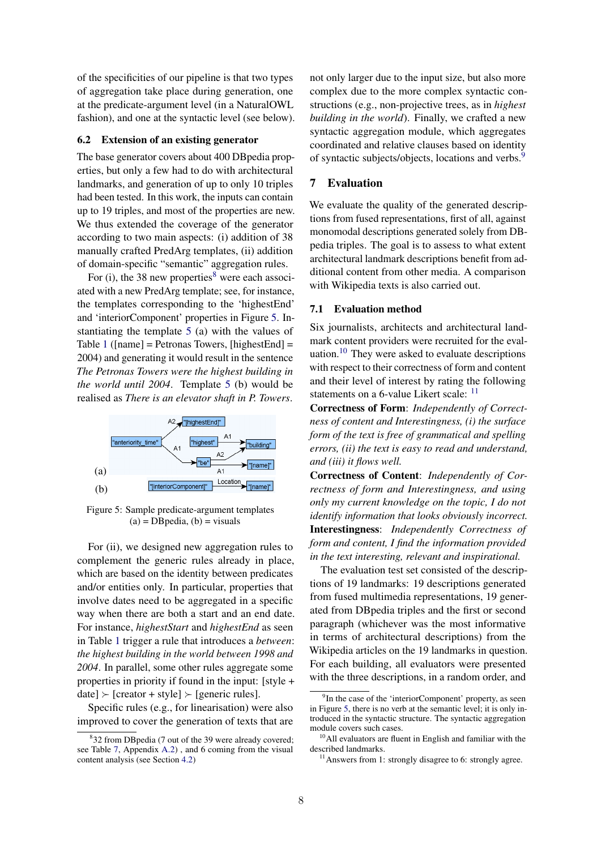of the specificities of our pipeline is that two types of aggregation take place during generation, one at the predicate-argument level (in a NaturalOWL fashion), and one at the syntactic level (see below).

## 6.2 Extension of an existing generator

The base generator covers about 400 DBpedia properties, but only a few had to do with architectural landmarks, and generation of up to only 10 triples had been tested. In this work, the inputs can contain up to 19 triples, and most of the properties are new. We thus extended the coverage of the generator according to two main aspects: (i) addition of 38 manually crafted PredArg templates, (ii) addition of domain-specific "semantic" aggregation rules.

For (i), the 38 new properties $8$  were each associ-ated with a new PredArg template; see, for instance, the templates corresponding to the 'highestEnd' and 'interiorComponent' properties in Figure 5. Instantiating the template 5 (a) with the values of Table 1 ([name] = Petronas Towers, [highestEnd] = 2004) and generating it would result in the sentence *The Petronas Towers were the highest building in the world until 2004*. Template 5 (b) would be realised as *There is an elevator shaft in P. Towers*.



Figure 5: Sample predicate-argument templates  $(a) = DB$  pedia,  $(b) =$  visuals

For (ii), we designed new aggregation rules to complement the generic rules already in place, which are based on the identity between predicates and/or entities only. In particular, properties that involve dates need to be aggregated in a specific way when there are both a start and an end date. For instance, *highestStart* and *highestEnd* as seen in Table 1 trigger a rule that introduces a *between*: *the highest building in the world between 1998 and 2004*. In parallel, some other rules aggregate some properties in priority if found in the input: [style +  $\text{date}$   $\triangleright$  [creator + style]  $\triangleright$  [generic rules].

Specific rules (e.g., for linearisation) were also improved to cover the generation of texts that are not only larger due to the input size, but also more complex due to the more complex syntactic constructions (e.g., non-projective trees, as in *highest building in the world*). Finally, we crafted a new syntactic aggregation module, which aggregates coordinated and relative clauses based on identity of syntactic subjects/objects, locations and verbs.<sup>9</sup>

## 7 Evaluation

We evaluate the quality of the generated descriptions from fused representations, first of all, against monomodal descriptions generated solely from DBpedia triples. The goal is to assess to what extent architectural landmark descriptions benefit from additional content from other media. A comparison with Wikipedia texts is also carried out.

#### 7.1 Evaluation method

Six journalists, architects and architectural landmark content providers were recruited for the evaluation.<sup>10</sup> They were asked to evaluate descriptions with respect to their correctness of form and content and their level of interest by rating the following statements on a 6-value Likert scale: <sup>11</sup>

Correctness of Form: *Independently of Correctness of content and Interestingness, (i) the surface form of the text is free of grammatical and spelling errors, (ii) the text is easy to read and understand, and (iii) it flows well.*

Correctness of Content: *Independently of Correctness of form and Interestingness, and using only my current knowledge on the topic, I do not identify information that looks obviously incorrect.* Interestingness: *Independently Correctness of form and content, I find the information provided in the text interesting, relevant and inspirational.*

The evaluation test set consisted of the descriptions of 19 landmarks: 19 descriptions generated from fused multimedia representations, 19 generated from DBpedia triples and the first or second paragraph (whichever was the most informative in terms of architectural descriptions) from the Wikipedia articles on the 19 landmarks in question. For each building, all evaluators were presented with the three descriptions, in a random order, and

<sup>&</sup>lt;sup>8</sup>32 from DBpedia (7 out of the 39 were already covered; see Table 7, Appendix A.2) , and 6 coming from the visual content analysis (see Section 4.2)

<sup>&</sup>lt;sup>9</sup>In the case of the 'interiorComponent' property, as seen in Figure 5, there is no verb at the semantic level; it is only introduced in the syntactic structure. The syntactic aggregation module covers such cases.

<sup>&</sup>lt;sup>10</sup>All evaluators are fluent in English and familiar with the described landmarks.

 $11$ Answers from 1: strongly disagree to 6: strongly agree.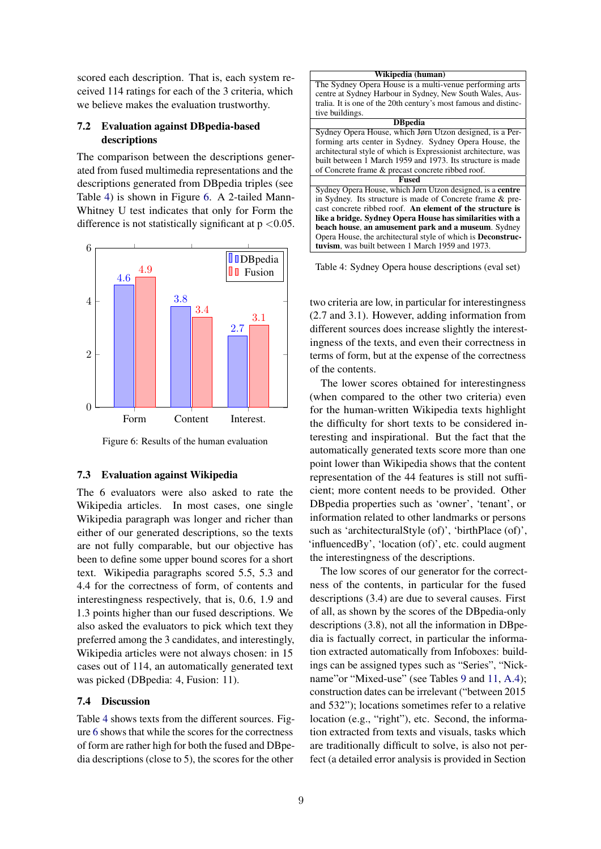scored each description. That is, each system received 114 ratings for each of the 3 criteria, which we believe makes the evaluation trustworthy.

## 7.2 Evaluation against DBpedia-based descriptions

The comparison between the descriptions generated from fused multimedia representations and the descriptions generated from DBpedia triples (see Table 4) is shown in Figure 6. A 2-tailed Mann-Whitney U test indicates that only for Form the difference is not statistically significant at  $p < 0.05$ .



Figure 6: Results of the human evaluation

#### 7.3 Evaluation against Wikipedia

The 6 evaluators were also asked to rate the Wikipedia articles. In most cases, one single Wikipedia paragraph was longer and richer than either of our generated descriptions, so the texts are not fully comparable, but our objective has been to define some upper bound scores for a short text. Wikipedia paragraphs scored 5.5, 5.3 and 4.4 for the correctness of form, of contents and interestingness respectively, that is, 0.6, 1.9 and 1.3 points higher than our fused descriptions. We also asked the evaluators to pick which text they preferred among the 3 candidates, and interestingly, Wikipedia articles were not always chosen: in 15 cases out of 114, an automatically generated text was picked (DBpedia: 4, Fusion: 11).

## 7.4 Discussion

Table 4 shows texts from the different sources. Figure 6 shows that while the scores for the correctness of form are rather high for both the fused and DBpedia descriptions (close to 5), the scores for the other



Table 4: Sydney Opera house descriptions (eval set)

two criteria are low, in particular for interestingness (2.7 and 3.1). However, adding information from different sources does increase slightly the interestingness of the texts, and even their correctness in terms of form, but at the expense of the correctness of the contents.

The lower scores obtained for interestingness (when compared to the other two criteria) even for the human-written Wikipedia texts highlight the difficulty for short texts to be considered interesting and inspirational. But the fact that the automatically generated texts score more than one point lower than Wikipedia shows that the content representation of the 44 features is still not sufficient; more content needs to be provided. Other DBpedia properties such as 'owner', 'tenant', or information related to other landmarks or persons such as 'architecturalStyle (of)', 'birthPlace (of)', 'influencedBy', 'location (of)', etc. could augment the interestingness of the descriptions.

The low scores of our generator for the correctness of the contents, in particular for the fused descriptions (3.4) are due to several causes. First of all, as shown by the scores of the DBpedia-only descriptions (3.8), not all the information in DBpedia is factually correct, in particular the information extracted automatically from Infoboxes: buildings can be assigned types such as "Series", "Nickname"or "Mixed-use" (see Tables 9 and 11, A.4); construction dates can be irrelevant ("between 2015 and 532"); locations sometimes refer to a relative location (e.g., "right"), etc. Second, the information extracted from texts and visuals, tasks which are traditionally difficult to solve, is also not perfect (a detailed error analysis is provided in Section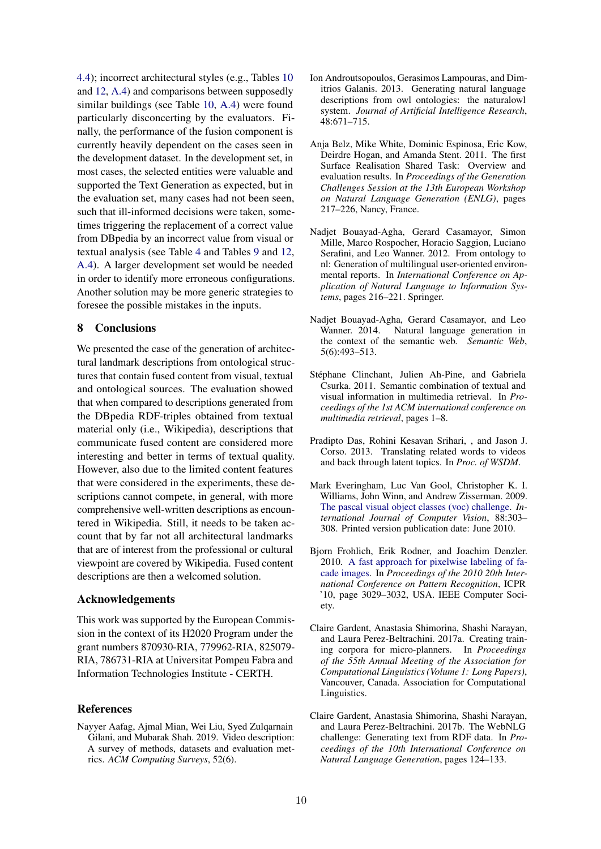4.4); incorrect architectural styles (e.g., Tables 10 and 12, A.4) and comparisons between supposedly similar buildings (see Table 10, A.4) were found particularly disconcerting by the evaluators. Finally, the performance of the fusion component is currently heavily dependent on the cases seen in the development dataset. In the development set, in most cases, the selected entities were valuable and supported the Text Generation as expected, but in the evaluation set, many cases had not been seen, such that ill-informed decisions were taken, sometimes triggering the replacement of a correct value from DBpedia by an incorrect value from visual or textual analysis (see Table 4 and Tables 9 and 12, A.4). A larger development set would be needed in order to identify more erroneous configurations. Another solution may be more generic strategies to foresee the possible mistakes in the inputs.

## 8 Conclusions

We presented the case of the generation of architectural landmark descriptions from ontological structures that contain fused content from visual, textual and ontological sources. The evaluation showed that when compared to descriptions generated from the DBpedia RDF-triples obtained from textual material only (i.e., Wikipedia), descriptions that communicate fused content are considered more interesting and better in terms of textual quality. However, also due to the limited content features that were considered in the experiments, these descriptions cannot compete, in general, with more comprehensive well-written descriptions as encountered in Wikipedia. Still, it needs to be taken account that by far not all architectural landmarks that are of interest from the professional or cultural viewpoint are covered by Wikipedia. Fused content descriptions are then a welcomed solution.

## Acknowledgements

This work was supported by the European Commission in the context of its H2020 Program under the grant numbers 870930-RIA, 779962-RIA, 825079- RIA, 786731-RIA at Universitat Pompeu Fabra and Information Technologies Institute - CERTH.

### References

Nayyer Aafag, Ajmal Mian, Wei Liu, Syed Zulqarnain Gilani, and Mubarak Shah. 2019. Video description: A survey of methods, datasets and evaluation metrics. *ACM Computing Surveys*, 52(6).

- Ion Androutsopoulos, Gerasimos Lampouras, and Dimitrios Galanis. 2013. Generating natural language descriptions from owl ontologies: the naturalowl system. *Journal of Artificial Intelligence Research*, 48:671–715.
- Anja Belz, Mike White, Dominic Espinosa, Eric Kow, Deirdre Hogan, and Amanda Stent. 2011. The first Surface Realisation Shared Task: Overview and evaluation results. In *Proceedings of the Generation Challenges Session at the 13th European Workshop on Natural Language Generation (ENLG)*, pages 217–226, Nancy, France.
- Nadjet Bouayad-Agha, Gerard Casamayor, Simon Mille, Marco Rospocher, Horacio Saggion, Luciano Serafini, and Leo Wanner. 2012. From ontology to nl: Generation of multilingual user-oriented environmental reports. In *International Conference on Application of Natural Language to Information Systems*, pages 216–221. Springer.
- Nadjet Bouayad-Agha, Gerard Casamayor, and Leo Wanner. 2014. Natural language generation in the context of the semantic web. *Semantic Web*, 5(6):493–513.
- Stéphane Clinchant, Julien Ah-Pine, and Gabriela Csurka. 2011. Semantic combination of textual and visual information in multimedia retrieval. In *Proceedings of the 1st ACM international conference on multimedia retrieval*, pages 1–8.
- Pradipto Das, Rohini Kesavan Srihari, , and Jason J. Corso. 2013. Translating related words to videos and back through latent topics. In *Proc. of WSDM*.
- Mark Everingham, Luc Van Gool, Christopher K. I. Williams, John Winn, and Andrew Zisserman. 2009. The pascal visual object classes (voc) challenge. *International Journal of Computer Vision*, 88:303– 308. Printed version publication date: June 2010.
- Bjorn Frohlich, Erik Rodner, and Joachim Denzler. 2010. A fast approach for pixelwise labeling of facade images. In *Proceedings of the 2010 20th International Conference on Pattern Recognition*, ICPR '10, page 3029–3032, USA. IEEE Computer Society.
- Claire Gardent, Anastasia Shimorina, Shashi Narayan, and Laura Perez-Beltrachini. 2017a. Creating training corpora for micro-planners. In *Proceedings of the 55th Annual Meeting of the Association for Computational Linguistics (Volume 1: Long Papers)*, Vancouver, Canada. Association for Computational Linguistics.
- Claire Gardent, Anastasia Shimorina, Shashi Narayan, and Laura Perez-Beltrachini. 2017b. The WebNLG challenge: Generating text from RDF data. In *Proceedings of the 10th International Conference on Natural Language Generation*, pages 124–133.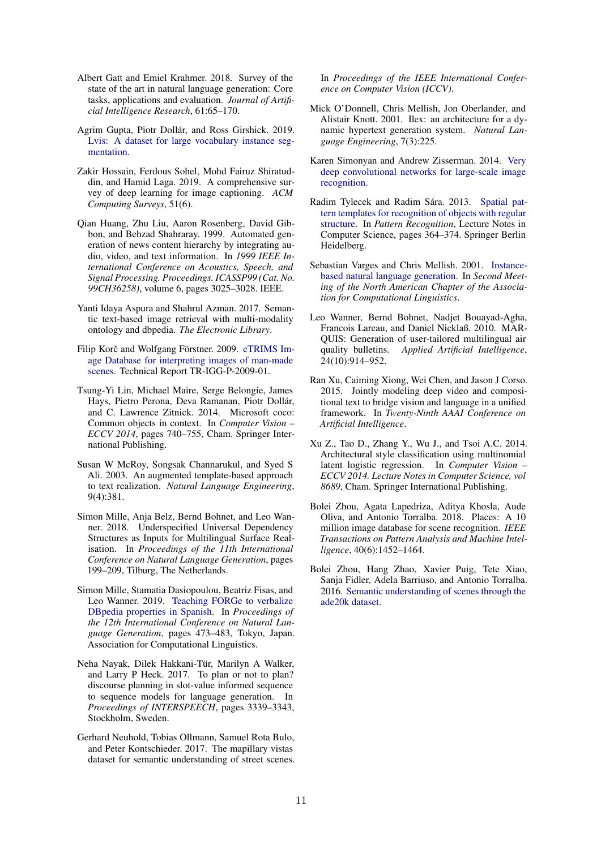- Albert Gatt and Emiel Krahmer. 2018. Survey of the state of the art in natural language generation: Core tasks, applications and evaluation. *Journal of Artificial Intelligence Research*, 61:65–170.
- Agrim Gupta, Piotr Dollár, and Ross Girshick. 2019. Lvis: A dataset for large vocabulary instance segmentation.
- Zakir Hossain, Ferdous Sohel, Mohd Fairuz Shiratuddin, and Hamid Laga. 2019. A comprehensive survey of deep learning for image captioning. *ACM Computing Surveys*, 51(6).
- Qian Huang, Zhu Liu, Aaron Rosenberg, David Gibbon, and Behzad Shahraray. 1999. Automated generation of news content hierarchy by integrating audio, video, and text information. In *1999 IEEE International Conference on Acoustics, Speech, and Signal Processing. Proceedings. ICASSP99 (Cat. No. 99CH36258)*, volume 6, pages 3025–3028. IEEE.
- Yanti Idaya Aspura and Shahrul Azman. 2017. Semantic text-based image retrieval with multi-modality ontology and dbpedia. *The Electronic Library*.
- Filip Korč and Wolfgang Förstner. 2009. eTRIMS Image Database for interpreting images of man-made scenes. Technical Report TR-IGG-P-2009-01.
- Tsung-Yi Lin, Michael Maire, Serge Belongie, James Hays, Pietro Perona, Deva Ramanan, Piotr Dollár, and C. Lawrence Zitnick. 2014. Microsoft coco: Common objects in context. In *Computer Vision – ECCV 2014*, pages 740–755, Cham. Springer International Publishing.
- Susan W McRoy, Songsak Channarukul, and Syed S Ali. 2003. An augmented template-based approach to text realization. *Natural Language Engineering*, 9(4):381.
- Simon Mille, Anja Belz, Bernd Bohnet, and Leo Wanner. 2018. Underspecified Universal Dependency Structures as Inputs for Multilingual Surface Realisation. In *Proceedings of the 11th International Conference on Natural Language Generation*, pages 199–209, Tilburg, The Netherlands.
- Simon Mille, Stamatia Dasiopoulou, Beatriz Fisas, and Leo Wanner. 2019. Teaching FORGe to verbalize DBpedia properties in Spanish. In *Proceedings of the 12th International Conference on Natural Language Generation*, pages 473–483, Tokyo, Japan. Association for Computational Linguistics.
- Neha Nayak, Dilek Hakkani-Tür, Marilyn A Walker, and Larry P Heck. 2017. To plan or not to plan? discourse planning in slot-value informed sequence to sequence models for language generation. In *Proceedings of INTERSPEECH*, pages 3339–3343, Stockholm, Sweden.
- Gerhard Neuhold, Tobias Ollmann, Samuel Rota Bulo, and Peter Kontschieder. 2017. The mapillary vistas dataset for semantic understanding of street scenes.

In *Proceedings of the IEEE International Conference on Computer Vision (ICCV)*.

- Mick O'Donnell, Chris Mellish, Jon Oberlander, and Alistair Knott. 2001. Ilex: an architecture for a dynamic hypertext generation system. *Natural Language Engineering*, 7(3):225.
- Karen Simonyan and Andrew Zisserman. 2014. Very deep convolutional networks for large-scale image recognition.
- Radim Tylecek and Radim Sára. 2013. Spatial pattern templates for recognition of objects with regular structure. In *Pattern Recognition*, Lecture Notes in Computer Science, pages 364–374. Springer Berlin Heidelberg.
- Sebastian Varges and Chris Mellish. 2001. Instancebased natural language generation. In *Second Meeting of the North American Chapter of the Association for Computational Linguistics*.
- Leo Wanner, Bernd Bohnet, Nadjet Bouayad-Agha, Francois Lareau, and Daniel Nicklaß. 2010. MAR-QUIS: Generation of user-tailored multilingual air quality bulletins. *Applied Artificial Intelligence*, 24(10):914–952.
- Ran Xu, Caiming Xiong, Wei Chen, and Jason J Corso. 2015. Jointly modeling deep video and compositional text to bridge vision and language in a unified framework. In *Twenty-Ninth AAAI Conference on Artificial Intelligence*.
- Xu Z., Tao D., Zhang Y., Wu J., and Tsoi A.C. 2014. Architectural style classification using multinomial latent logistic regression. In *Computer Vision – ECCV 2014. Lecture Notes in Computer Science, vol 8689*, Cham. Springer International Publishing.
- Bolei Zhou, Agata Lapedriza, Aditya Khosla, Aude Oliva, and Antonio Torralba. 2018. Places: A 10 million image database for scene recognition. *IEEE Transactions on Pattern Analysis and Machine Intelligence*, 40(6):1452–1464.
- Bolei Zhou, Hang Zhao, Xavier Puig, Tete Xiao, Sanja Fidler, Adela Barriuso, and Antonio Torralba. 2016. Semantic understanding of scenes through the ade20k dataset.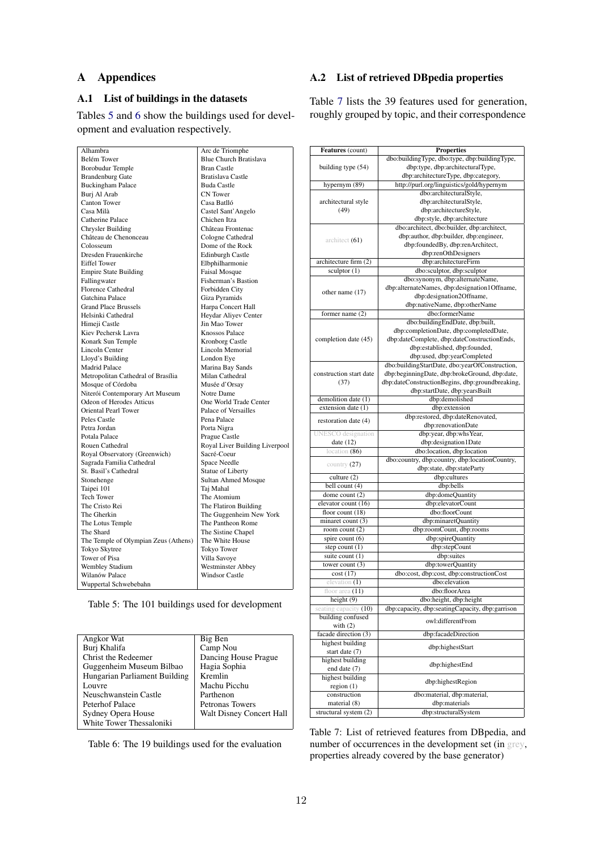## A Appendices

## A.1 List of buildings in the datasets

Tables 5 and 6 show the buildings used for development and evaluation respectively.

## A.2 List of retrieved DBpedia properties

Table 7 lists the 39 features used for generation, roughly grouped by topic, and their correspondence

| Alhambra                             | Arc de Triomphe                |
|--------------------------------------|--------------------------------|
| Belém Tower                          | <b>Blue Church Bratislava</b>  |
| <b>Borobudur</b> Temple              | <b>Bran Castle</b>             |
| <b>Brandenburg Gate</b>              | <b>Bratislava Castle</b>       |
| <b>Buckingham Palace</b>             | <b>Buda Castle</b>             |
| Buri Al Arab                         | <b>CN</b> Tower                |
| Canton Tower                         | Casa Batlló                    |
| Casa Milà                            | Castel Sant' Angelo            |
| Catherine Palace                     | Chichen Itza                   |
| <b>Chrysler Building</b>             | Château Frontenac              |
| Château de Chenonceau                | Cologne Cathedral              |
| Colosseum                            | Dome of the Rock               |
| Dresden Frauenkirche                 | <b>Edinburgh Castle</b>        |
| <b>Eiffel Tower</b>                  | Elbphilharmonie                |
| <b>Empire State Building</b>         | <b>Faisal Mosque</b>           |
| Fallingwater                         | Fisherman's Bastion            |
| <b>Florence Cathedral</b>            | Forbidden City                 |
| Gatchina Palace                      | Giza Pyramids                  |
| <b>Grand Place Brussels</b>          | Harpa Concert Hall             |
| Helsinki Cathedral                   | Heydar Aliyev Center           |
| Himeji Castle                        | Jin Mao Tower                  |
| Kiev Pechersk Lavra                  | <b>Knossos Palace</b>          |
| Konark Sun Temple                    | <b>Kronborg Castle</b>         |
| <b>Lincoln Center</b>                | <b>Lincoln Memorial</b>        |
| Lloyd's Building                     | London Eye                     |
| <b>Madrid Palace</b>                 | Marina Bay Sands               |
| Metropolitan Cathedral of Brasília   | Milan Cathedral                |
| Mosque of Córdoba                    | Musée d'Orsay                  |
| Niterói Contemporary Art Museum      | Notre Dame                     |
| Odeon of Herodes Atticus             | One World Trade Center         |
| <b>Oriental Pearl Tower</b>          | Palace of Versailles           |
| Peles Castle                         | Pena Palace                    |
| Petra Jordan                         | Porta Nigra                    |
| Potala Palace                        | Prague Castle                  |
| Rouen Cathedral                      | Royal Liver Building Liverpool |
| Royal Observatory (Greenwich)        | Sacré-Coeur                    |
| Sagrada Familia Cathedral            | <b>Space Needle</b>            |
| St. Basil's Cathedral                | <b>Statue of Liberty</b>       |
| Stonehenge                           | <b>Sultan Ahmed Mosque</b>     |
| Taipei 101                           | Taj Mahal                      |
| <b>Tech Tower</b>                    | The Atomium                    |
| The Cristo Rei                       | The Flatiron Building          |
| The Gherkin                          | The Guggenheim New York        |
| The Lotus Temple                     | The Pantheon Rome              |
| The Shard                            | The Sistine Chapel             |
| The Temple of Olympian Zeus (Athens) | The White House                |
| Tokyo Skytree                        | Tokyo Tower                    |
| Tower of Pisa                        | Villa Savoye                   |
| <b>Wembley Stadium</b>               | <b>Westminster Abbey</b>       |
| Wilanów Palace                       | <b>Windsor Castle</b>          |
| Wuppertal Schwebebahn                |                                |
|                                      |                                |

Table 5: The 101 buildings used for development

| Angkor Wat                    | Big Ben                         |
|-------------------------------|---------------------------------|
| Burj Khalifa                  | Camp Nou                        |
| Christ the Redeemer           | Dancing House Prague            |
| Guggenheim Museum Bilbao      | Hagia Sophia                    |
| Hungarian Parliament Building | Kremlin                         |
| Louvre                        | Machu Picchu                    |
| Neuschwanstein Castle         | Parthenon                       |
| Peterhof Palace               | Petronas Towers                 |
| Sydney Opera House            | <b>Walt Disney Concert Hall</b> |
| White Tower Thessaloniki      |                                 |

Table 6: The 19 buildings used for the evaluation

| Features (count)                   | <b>Properties</b>                               |
|------------------------------------|-------------------------------------------------|
|                                    | dbo:buildingType, dbo:type, dbp:buildingType,   |
| building type (54)                 | dbp:type, dbp:architecturalType,                |
|                                    | dbp:architectureType, dbp:category,             |
| hypernym (89)                      | http://purl.org/linguistics/gold/hypernym       |
|                                    | dbo:architecturalStyle,                         |
| architectural style                | dbp:architecturalStyle,                         |
| (49)                               | dbp:architectureStyle,                          |
|                                    | dbp:style, dbp:architecture                     |
|                                    | dbo:architect, dbo:builder, dbp:architect,      |
|                                    | dbp:author, dbp:builder, dbp:engineer,          |
| architect $(61)$                   | dbp:foundedBy, dbp:renArchitect,                |
|                                    | dbp:renOthDesigners                             |
| architecture firm (2)              | dbp:architectureFirm                            |
| sculptor (1)                       | dbo:sculptor, dbp:sculptor                      |
|                                    | dbo:synonym, dbp:alternateName,                 |
|                                    | dbp:alternateNames, dbp:designation1Offname,    |
| other name $(17)$                  | dbp:designation2Offname,                        |
|                                    | dbp:nativeName, dbp:otherName                   |
| former name $(2)$                  | dbo:formerName                                  |
|                                    | dbo:buildingEndDate, dbp:built,                 |
|                                    | dbp:completionDate, dbp:completedDate,          |
|                                    | dbp:dateComplete, dbp:dateConstructionEnds,     |
| completion date (45)               |                                                 |
|                                    | dbp:established, dbp:founded,                   |
|                                    | dbp:used, dbp:yearCompleted                     |
|                                    | dbo:buildingStartDate, dbo:yearOfConstruction,  |
| construction start date            | dbp:beginningDate, dbp:brokeGround, dbp:date,   |
| (37)                               | dbp:dateConstructionBegins, dbp:groundbreaking, |
|                                    | dbp:startDate, dbp:yearsBuilt                   |
| demolition date (1)                | dbp:demolished                                  |
| extension date (1)                 | dbp:extension                                   |
|                                    | dbp:restored, dbp:dateRenovated,                |
| restoration date (4)               | dbp:renovationDate                              |
| <b>UNESCO</b> designation          | dbp:year, dbp:whsYear,                          |
| date $(12)$                        | dbp:designation1Date                            |
| location (86)                      | dbo:location, dbp:location                      |
|                                    | dbo:country, dbp:country, dbp:locationCountry,  |
| country $(27)$                     | dbp:state, dbp:stateParty                       |
| culture $(2)$                      | dbp:cultures                                    |
| bell count (4)                     | dbp:bells                                       |
| dome count (2)                     | dbp:domeQuantity                                |
| elevator count (16)                | dbp:elevatorCount                               |
| floor count $(18)$                 | dbo:floorCount                                  |
| minaret count (3)                  | dbp:minaretQuantity                             |
| room count (2)                     | dbp:roomCount, dbp:rooms                        |
| spire count (6)                    | dbp:spireQuantity                               |
| step count $(1)$                   | dbp:stepCount                                   |
| suite count (1)                    | dbp:suites                                      |
| tower count $(3)$                  | dbp:towerQuantity                               |
| cost(17)                           | dbo:cost, dbp:cost, dbp:constructionCost        |
| elevation (1)                      | dbo:elevation                                   |
| floor area $(11)$                  | dbo:floorArea                                   |
| height $(9)$                       | dbo:height, dbp:height                          |
| seating capacity (10)              | dbp:capacity, dbp:seatingCapacity, dbp:garrison |
| building confused                  |                                                 |
| with $(2)$                         | owl:differentFrom                               |
| facade direction (3)               | dbp:facadeDirection                             |
|                                    |                                                 |
| highest building<br>start date (7) | dbp:highestStart                                |
|                                    |                                                 |
| highest building                   | dbp:highestEnd                                  |
| end date (7)                       |                                                 |
| highest building                   | dbp:highestRegion                               |
| region $(1)$                       |                                                 |
| construction                       | dbo:material, dbp:material,                     |
| material (8)                       | dbp:materials                                   |
| structural system $(2)$            | dbp:structuralSystem                            |

Table 7: List of retrieved features from DBpedia, and number of occurrences in the development set (in grey, properties already covered by the base generator)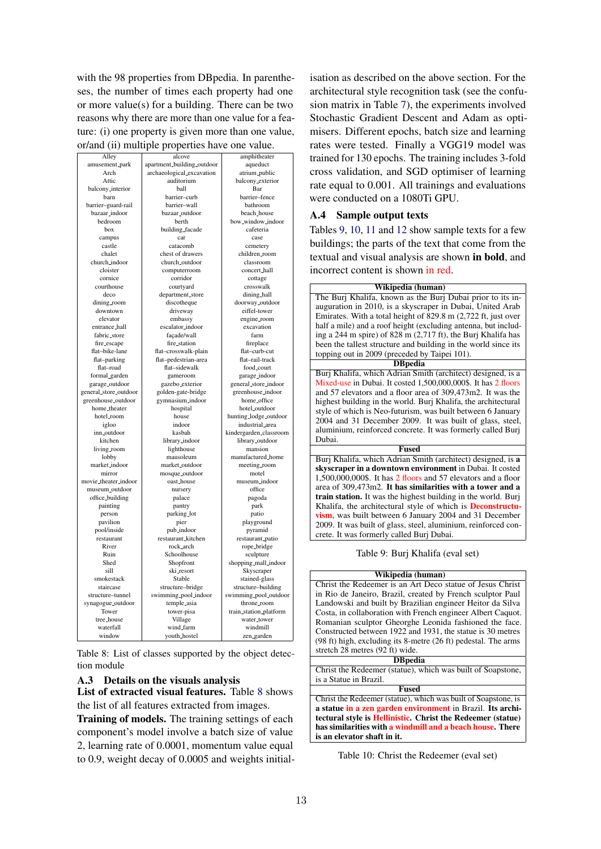with the 98 properties from DB pedia. In parentheses, the number of times each property had one or more value(s) for a building. There can be two reasons why there are more than one value for a feature: (i) one property is given more than one value, or/and (ii) multiple properties have one value.

| Alley                       | alcove                     | amphitheater           |
|-----------------------------|----------------------------|------------------------|
| amusement_park              | apartment_building_outdoor | aqueduct               |
| Arch                        | archaeological_excavation  | atrium_public          |
| Attic                       | auditorium                 | balcony_exterior       |
| balcony_interior            | ball                       | Bar                    |
| barn                        | barrier-curb               | barrier-fence          |
| barrier-guard-rail          | barrier-wall               | bathroom               |
| bazaar_indoor               | bazaar_outdoor             | beach_house            |
| bedroom                     | berth                      | bow_window_indoor      |
| box                         | building_facade            | cafeteria              |
| campus                      | car                        | case                   |
| castle                      | catacomb                   | cemetery               |
| chalet                      | chest of drawers           | children_room          |
| church_indoor               | church_outdoor             | classroom              |
| cloister                    | computerroom               | concert_hall           |
| cornice                     | corridor                   |                        |
| courthouse                  |                            | cottage                |
| deco                        | courtyard                  | crosswalk              |
|                             | department_store           | dining_hall            |
| dining_room                 | discotheque                | doorway_outdoor        |
| downtown                    | driveway                   | eiffel-tower           |
| elevator                    | embassy                    | engine_room            |
| entrance_hall               | escalator_indoor           | excavation             |
| fabric_store                | facade/wall                | farm                   |
| fire_escape                 | fire_station               | fireplace              |
| flat-bike-lane              | flat-crosswalk-plain       | flat-curb-cut          |
| flat-parking                | flat-pedestrian-area       | flat-rail-track        |
| flat-road                   | flat-sidewalk              | food_court             |
| formal_garden               | gameroom                   | garage_indoor          |
| garage_outdoor              | gazebo_exterior            | general_store_indoor   |
| general_store_outdoor       | golden-gate-bridge         | greenhouse_indoor      |
| greenhouse_outdoor          | gymnasium_indoor           | home_office            |
| home_theater                | hospital                   | hotel_outdoor          |
| hotel_room                  | house                      | hunting_lodge_outdoor  |
| igloo                       | indoor                     | industrial_area        |
| inn_outdoor                 | kasbah                     | kindergarden_classroom |
| kitchen                     | library_indoor             | library_outdoor        |
| living_room                 | lighthouse                 | mansion                |
| lobby                       | mausoleum                  | manufactured_home      |
| market_indoor               | market_outdoor             | meeting_room           |
| mirror                      | mosque_outdoor             | motel                  |
| movie_theater_indoor        | oast_house                 | museum_indoor          |
| museum_outdoor              | nursery                    | office                 |
|                             |                            |                        |
| office_building<br>painting | palace<br>pantry           | pagoda<br>park         |
|                             |                            |                        |
| person                      | parking_lot                | patio                  |
| pavilion                    | pier                       | playground             |
| pool/inside                 | pub_indoor                 | pyramid                |
| restaurant                  | restaurant_kitchen         | restaurant_patio       |
| River                       | rock_arch                  | rope_bridge            |
| Ruin                        | Schoolhouse                | sculpture              |
| Shed                        | Shopfront                  | shopping_mall_indoor   |
| sill                        | ski_resort                 | Skyscraper             |
| smokestack                  | Stable                     | stained-glass          |
| staircase                   | structure-bridge           | structure-building     |
| structure-tunnel            | swimming_pool_indoor       | swimming_pool_outdoor  |
| synagogue_outdoor           | temple_asia                | throne_room            |
| Tower                       | tower-pisa                 | train_station_platform |
| tree_house                  | Village                    | water_tower            |
| waterfall                   | wind_farm                  | windmill               |
| window                      | youth_hostel               | zen_garden             |

Table 8: List of classes supported by the object detection module

## A.3 Details on the visuals analysis

List of extracted visual features. Table 8 shows the list of all features extracted from images.

Training of models. The training settings of each component's model involve a batch size of value 2, learning rate of 0.0001, momentum value equal to 0.9, weight decay of 0.0005 and weights initial-

isation as described on the above section. For the architectural style recognition task (see the confusion matrix in Table 7), the experiments involved Stochastic Gradient Descent and Adam as optimisers. Different epochs, batch size and learning rates were tested. Finally a VGG19 model was trained for 130 epochs. The training includes 3-fold cross validation, and SGD optimiser of learning rate equal to 0.001. All trainings and evaluations were conducted on a 1080Ti GPU.

## A.4 Sample output texts

Tables 9, 10, 11 and 12 show sample texts for a few buildings; the parts of the text that come from the textual and visual analysis are shown in bold, and incorrect content is shown in red.

| Wikipedia (human)                                                       |
|-------------------------------------------------------------------------|
| The Burj Khalifa, known as the Burj Dubai prior to its in-              |
| auguration in 2010, is a skyscraper in Dubai, United Arab               |
| Emirates. With a total height of 829.8 m (2,722 ft, just over           |
| half a mile) and a roof height (excluding antenna, but includ-          |
| ing a 244 m spire) of 828 m $(2,717 \text{ ft})$ , the Burj Khalifa has |
| been the tallest structure and building in the world since its          |
| topping out in 2009 (preceded by Taipei 101).                           |
| <b>DB</b> pedia                                                         |
| Buri Khalifa, which Adrian Smith (architect) designed, is a             |
| Mixed-use in Dubai. It costed 1,500,000,000\$. It has 2 floors          |
| and 57 elevators and a floor area of 309,473m2. It was the              |
| highest building in the world. Burj Khalifa, the architectural          |
| style of which is Neo-futurism, was built between 6 January             |
| 2004 and 31 December 2009. It was built of glass, steel,                |
| aluminium, reinforced concrete. It was formerly called Buri             |
| Dubai.                                                                  |
| <b>Fused</b>                                                            |
| Burj Khalifa, which Adrian Smith (architect) designed, is a             |
| skyseraner in a downtown environment in Dubai. It costed                |

skyscraper in a downtown environment in Dubai. It costed 1,500,000,000\$. It has 2 floors and 57 elevators and a floor area of 309,473m2. It has similarities with a tower and a train station. It was the highest building in the world. Burj Khalifa, the architectural style of which is Deconstructuvism, was built between 6 January 2004 and 31 December 2009. It was built of glass, steel, aluminium, reinforced concrete. It was formerly called Burj Dubai.

Table 9: Burj Khalifa (eval set)

#### Wikipedia (human) Christ the Redeemer is an Art Deco statue of Jesus Christ in Rio de Janeiro, Brazil, created by French sculptor Paul Landowski and built by Brazilian engineer Heitor da Silva Costa, in collaboration with French engineer Albert Caquot. Romanian sculptor Gheorghe Leonida fashioned the face. Constructed between 1922 and 1931, the statue is 30 metres (98 ft) high, excluding its 8-metre (26 ft) pedestal. The arms stretch 28 metres (92 ft) wide. **DB**pedia Christ the Redeemer (statue), which was built of Soapstone, is a Statue in Brazil. Fused Christ the Redeemer (statue), which was built of Soapstone, is a statue in a zen garden environment in Brazil. Its architectural style is Hellinistic. Christ the Redeemer (statue) has similarities with a windmill and a beach house. There is an elevator shaft in it.

Table 10: Christ the Redeemer (eval set)